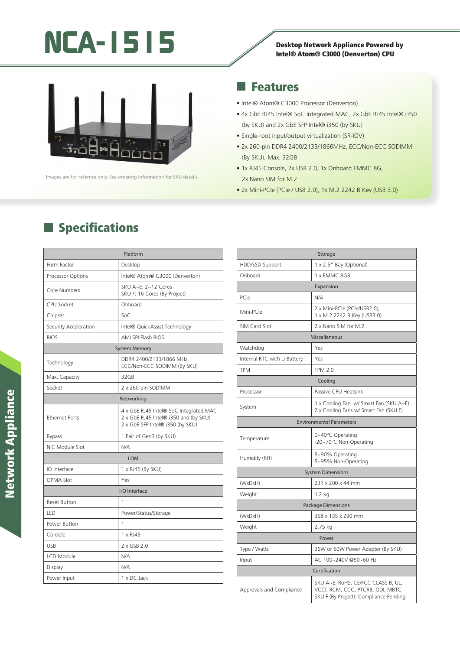# NCA-1515<br>
Desktop Network Appliance Powered by<br>
Intel® Atom® C2000 (Denverten) CPU

# Intel® Atom® C3000 (Denverton) CPU



lmages are for refernce only. See ordering information for SKU details.

**Specifications** 

#### Features

- Intel® Atom® C3000 Processor (Denverton)
- 4x GbE RJ45 Intel® SoC Integrated MAC, 2x GbE RJ45 Intel® i350 (by SKU) and 2x GbE SFP Intel® i350 (by SKU)
- Single-root input/output virtualization (SR-IOV)
- 2x 260-pin DDR4 2400/2133/1866MHz, ECC/Non-ECC SODIMM (By SKU), Max. 32GB
- 1x RJ45 Console, 2x USB 2.0, 1x Onboard EMMC 8G, 2x Nano SIM for M.2
- 2x Mini-PCIe (PCIe / USB 2.0), 1x M.2 2242 B Key (USB 3.0)

| Platform              |                                                                                                                     |  |
|-----------------------|---------------------------------------------------------------------------------------------------------------------|--|
| Form Factor           | Desktop                                                                                                             |  |
| Processor Options     | Intel® Atom® C3000 (Denverton)                                                                                      |  |
| Core Numbers          | SKU A~E: 2~12 Cores<br>SKU F: 16 Cores (By Project)                                                                 |  |
| CPU Socket            | Onboard                                                                                                             |  |
| Chipset               | SoC                                                                                                                 |  |
| Security Acceleration | Intel® QuickAssist Technology                                                                                       |  |
| <b>BIOS</b>           | <b>AMI SPI Flash BIOS</b>                                                                                           |  |
| <b>System Memory</b>  |                                                                                                                     |  |
| Technology            | DDR4 2400/2133/1866 MHz<br>ECC/Non-ECC SODIMM (By SKU)                                                              |  |
| Max. Capacity         | 32GB                                                                                                                |  |
| Socket                | 2 x 260-pin SODIMM                                                                                                  |  |
| Networking            |                                                                                                                     |  |
| <b>Ethernet Ports</b> | 4 x GbE RJ45 Intel® SoC Integrated MAC<br>2 x GbE RJ45 Intel® i350 and (by SKU)<br>2 x GbE SFP Intel® i350 (by SKU) |  |
| <b>Bypass</b>         | 1 Pair of Gen3 (by SKU)                                                                                             |  |
| NIC Module Slot       | N/A                                                                                                                 |  |
| <b>LOM</b>            |                                                                                                                     |  |
| IO Interface          | 1 x RJ45 (By SKU)                                                                                                   |  |
| OPMA Slot             | Yes                                                                                                                 |  |
| I/O Interface         |                                                                                                                     |  |
| <b>Reset Button</b>   | 1                                                                                                                   |  |
| LED                   | Power/Status/Storage                                                                                                |  |
| Power Button          | 1                                                                                                                   |  |
| Console               | 1 x RJ45                                                                                                            |  |
| <b>USB</b>            | 2 x USB 2.0                                                                                                         |  |
| LCD Module            | N/A                                                                                                                 |  |
| Display               | N/A                                                                                                                 |  |
| Power Input           | 1 x DC Jack                                                                                                         |  |

| Storage                         |                                                                                                                  |  |
|---------------------------------|------------------------------------------------------------------------------------------------------------------|--|
| HDD/SSD Support                 | 1 x 2.5" Bay (Optional)                                                                                          |  |
| Onboard                         | 1 x EMMC 8GB                                                                                                     |  |
| Expansion                       |                                                                                                                  |  |
| PCIe                            | N/A                                                                                                              |  |
| Mini-PCle                       | 2 x Mini-PCle (PCle/USB2.0),<br>1 x M.2 2242 B Key (USB3.0)                                                      |  |
| SIM Card Slot                   | 2 x Nano SIM for M.2                                                                                             |  |
| Miscellaneous                   |                                                                                                                  |  |
| Watchdog                        | Yes                                                                                                              |  |
| Internal RTC with Li Battery    | Yes                                                                                                              |  |
| <b>TPM</b>                      | <b>TPM 2.0</b>                                                                                                   |  |
| Cooling                         |                                                                                                                  |  |
| Processor                       | Passive CPU Heatsink                                                                                             |  |
| System                          | 1 x Cooling Fan w/ Smart Fan (SKU A~E)<br>2 x Cooling Fans w/ Smart Fan (SKU F)                                  |  |
| <b>Environmental Parameters</b> |                                                                                                                  |  |
| Temperature                     | 0~40°C Operating<br>-20~70°C Non-Operating                                                                       |  |
| Humidity (RH)                   | 5~90% Operating<br>5~95% Non-Operating                                                                           |  |
| <b>System Dimensions</b>        |                                                                                                                  |  |
| (WxDxH)                         | 231 x 200 x 44 mm                                                                                                |  |
| Weight                          | $1.2$ kg                                                                                                         |  |
| <b>Package Dimensions</b>       |                                                                                                                  |  |
| (WxDxH)                         | 358 x 135 x 290 mm                                                                                               |  |
| Weight                          | 2.75 kg                                                                                                          |  |
| Power                           |                                                                                                                  |  |
| Type / Watts                    | 36W or 60W Power Adapter (By SKU)                                                                                |  |
| Input                           | AC 100~240V @50~60 Hz                                                                                            |  |
| Certification                   |                                                                                                                  |  |
| Approvals and Compliance        | SKU A~E: RoHS, CE/FCC CLASS B, UL,<br>VCCI, RCM, CCC, PTCRB, ODI, MBTC<br>SKU F (By Project): Compliance Pending |  |